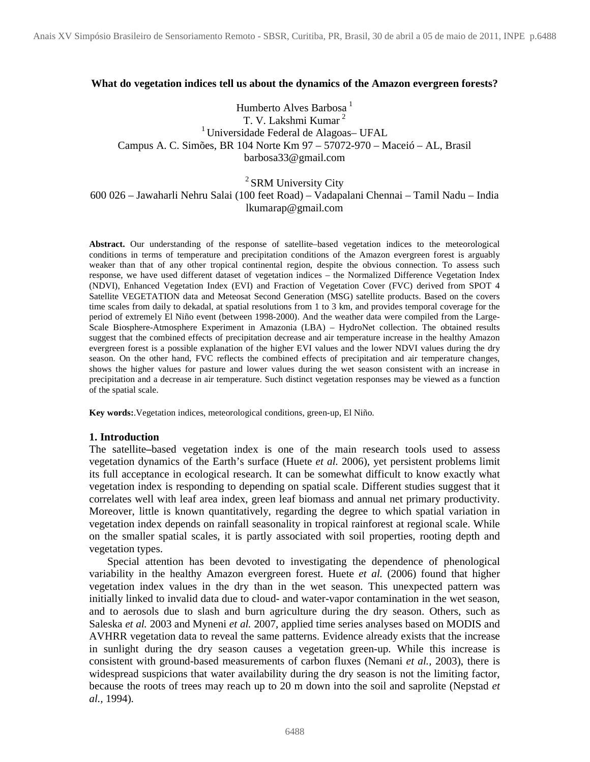#### **What do vegetation indices tell us about the dynamics of the Amazon evergreen forests?**

Humberto Alves Barbosa<sup>1</sup> T. V. Lakshmi Kumar <sup>2</sup> <sup>1</sup> Universidade Federal de Alagoas– UFAL Campus A. C. Simões, BR 104 Norte Km 97 – 57072-970 – Maceió – AL, Brasil barbosa33@gmail.com

# <sup>2</sup> SRM University City

# 600 026 – Jawaharli Nehru Salai (100 feet Road) – Vadapalani Chennai – Tamil Nadu – India lkumarap@gmail.com

**Abstract.** Our understanding of the response of satellite–based vegetation indices to the meteorological conditions in terms of temperature and precipitation conditions of the Amazon evergreen forest is arguably weaker than that of any other tropical continental region, despite the obvious connection. To assess such response, we have used different dataset of vegetation indices – the Normalized Difference Vegetation Index (NDVI), Enhanced Vegetation Index (EVI) and Fraction of Vegetation Cover (FVC) derived from SPOT 4 Satellite VEGETATION data and Meteosat Second Generation (MSG) satellite products. Based on the covers time scales from daily to dekadal, at spatial resolutions from 1 to 3 km, and provides temporal coverage for the period of extremely El Niño event (between 1998-2000). And the weather data were compiled from the Large-Scale Biosphere-Atmosphere Experiment in Amazonia (LBA) – HydroNet collection. The obtained results suggest that the combined effects of precipitation decrease and air temperature increase in the healthy Amazon evergreen forest is a possible explanation of the higher EVI values and the lower NDVI values during the dry season. On the other hand, FVC reflects the combined effects of precipitation and air temperature changes, shows the higher values for pasture and lower values during the wet season consistent with an increase in precipitation and a decrease in air temperature. Such distinct vegetation responses may be viewed as a function of the spatial scale.

**Key words:**.Vegetation indices, meteorological conditions, green-up, El Niño.

#### **1. Introduction**

The satellite**–**based vegetation index is one of the main research tools used to assess vegetation dynamics of the Earth's surface (Huete *et al.* 2006), yet persistent problems limit its full acceptance in ecological research. It can be somewhat difficult to know exactly what vegetation index is responding to depending on spatial scale. Different studies suggest that it correlates well with leaf area index, green leaf biomass and annual net primary productivity. Moreover, little is known quantitatively, regarding the degree to which spatial variation in vegetation index depends on rainfall seasonality in tropical rainforest at regional scale. While on the smaller spatial scales, it is partly associated with soil properties, rooting depth and vegetation types.

Special attention has been devoted to investigating the dependence of phenological variability in the healthy Amazon evergreen forest. Huete *et al.* (2006) found that higher vegetation index values in the dry than in the wet season. This unexpected pattern was initially linked to invalid data due to cloud- and water-vapor contamination in the wet season, and to aerosols due to slash and burn agriculture during the dry season. Others, such as Saleska *et al.* 2003 and Myneni *et al.* 2007, applied time series analyses based on MODIS and AVHRR vegetation data to reveal the same patterns. Evidence already exists that the increase in sunlight during the dry season causes a vegetation green-up. While this increase is consistent with ground-based measurements of carbon fluxes (Nemani *et al.,* 2003), there is widespread suspicions that water availability during the dry season is not the limiting factor, because the roots of trees may reach up to 20 m down into the soil and saprolite (Nepstad *et al.,* 1994).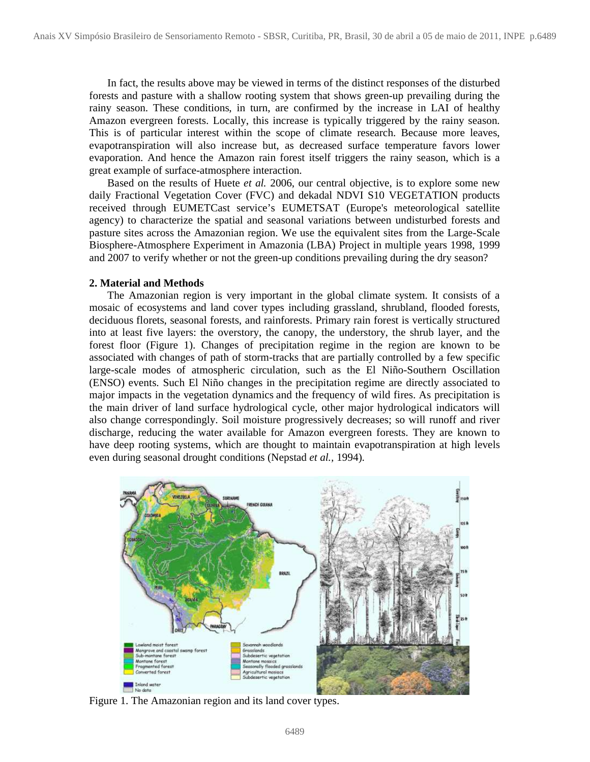In fact, the results above may be viewed in terms of the distinct responses of the disturbed forests and pasture with a shallow rooting system that shows green-up prevailing during the rainy season. These conditions, in turn, are confirmed by the increase in LAI of healthy Amazon evergreen forests. Locally, this increase is typically triggered by the rainy season. This is of particular interest within the scope of climate research. Because more leaves, evapotranspiration will also increase but, as decreased surface temperature favors lower evaporation. And hence the Amazon rain forest itself triggers the rainy season, which is a great example of surface-atmosphere interaction.

Based on the results of Huete *et al.* 2006, our central objective, is to explore some new daily Fractional Vegetation Cover (FVC) and dekadal NDVI S10 VEGETATION products received through EUMETCast service's EUMETSAT (Europe's meteorological satellite agency) to characterize the spatial and seasonal variations between undisturbed forests and pasture sites across the Amazonian region. We use the equivalent sites from the Large-Scale Biosphere-Atmosphere Experiment in Amazonia (LBA) Project in multiple years 1998, 1999 and 2007 to verify whether or not the green-up conditions prevailing during the dry season?

#### **2. Material and Methods**

The Amazonian region is very important in the global climate system. It consists of a mosaic of ecosystems and land cover types including grassland, shrubland, flooded forests, deciduous florets, seasonal forests, and rainforests. Primary rain forest is vertically structured into at least five layers: the overstory, the canopy, the understory, the shrub layer, and the forest floor (Figure 1). Changes of precipitation regime in the region are known to be associated with changes of path of storm-tracks that are partially controlled by a few specific large-scale modes of atmospheric circulation, such as the El Niño-Southern Oscillation (ENSO) events. Such El Niño changes in the precipitation regime are directly associated to major impacts in the vegetation dynamics and the frequency of wild fires. As precipitation is the main driver of land surface hydrological cycle, other major hydrological indicators will also change correspondingly. Soil moisture progressively decreases; so will runoff and river discharge, reducing the water available for Amazon evergreen forests. They are known to have deep rooting systems, which are thought to maintain evapotranspiration at high levels even during seasonal drought conditions (Nepstad *et al.,* 1994).



Figure 1. The Amazonian region and its land cover types.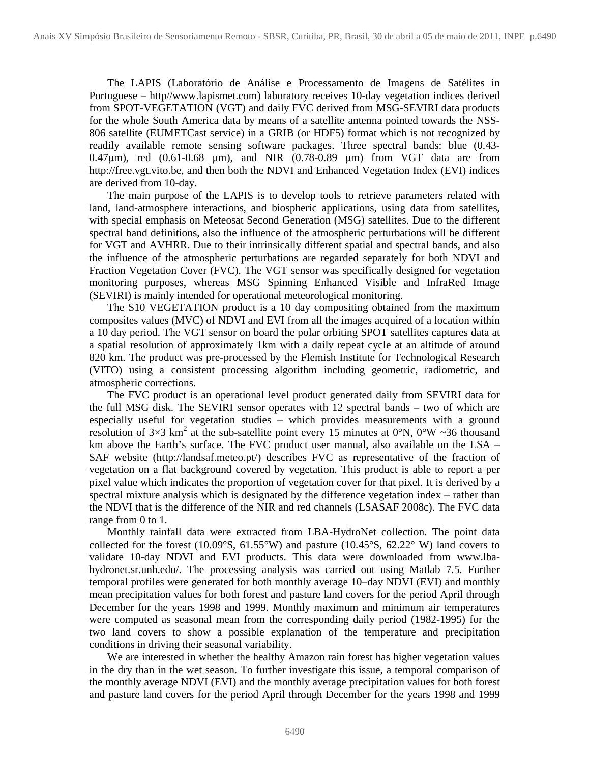The LAPIS (Laboratório de Análise e Processamento de Imagens de Satélites in Portuguese – http//www.lapismet.com) laboratory receives 10-day vegetation indices derived from SPOT-VEGETATION (VGT) and daily FVC derived from MSG-SEVIRI data products for the whole South America data by means of a satellite antenna pointed towards the NSS-806 satellite (EUMETCast service) in a GRIB (or HDF5) format which is not recognized by readily available remote sensing software packages. Three spectral bands: blue (0.43- 0.47µm), red (0.61-0.68 µm), and NIR (0.78-0.89 µm) from VGT data are from http://free.vgt.vito.be, and then both the NDVI and Enhanced Vegetation Index (EVI) indices are derived from 10-day.

The main purpose of the LAPIS is to develop tools to retrieve parameters related with land, land-atmosphere interactions, and biospheric applications, using data from satellites, with special emphasis on Meteosat Second Generation (MSG) satellites. Due to the different spectral band definitions, also the influence of the atmospheric perturbations will be different for VGT and AVHRR. Due to their intrinsically different spatial and spectral bands, and also the influence of the atmospheric perturbations are regarded separately for both NDVI and Fraction Vegetation Cover (FVC). The VGT sensor was specifically designed for vegetation monitoring purposes, whereas MSG Spinning Enhanced Visible and InfraRed Image (SEVIRI) is mainly intended for operational meteorological monitoring.

The S10 VEGETATION product is a 10 day compositing obtained from the maximum composites values (MVC) of NDVI and EVI from all the images acquired of a location within a 10 day period. The VGT sensor on board the polar orbiting SPOT satellites captures data at a spatial resolution of approximately 1km with a daily repeat cycle at an altitude of around 820 km. The product was pre-processed by the Flemish Institute for Technological Research (VITO) using a consistent processing algorithm including geometric, radiometric, and atmospheric corrections.

The FVC product is an operational level product generated daily from SEVIRI data for the full MSG disk. The SEVIRI sensor operates with 12 spectral bands – two of which are especially useful for vegetation studies – which provides measurements with a ground resolution of 3×3 km<sup>2</sup> at the sub-satellite point every 15 minutes at 0°N, 0°W ~36 thousand km above the Earth's surface. The FVC product user manual, also available on the LSA – SAF website (http://landsaf.meteo.pt/) describes FVC as representative of the fraction of vegetation on a flat background covered by vegetation. This product is able to report a per pixel value which indicates the proportion of vegetation cover for that pixel. It is derived by a spectral mixture analysis which is designated by the difference vegetation index – rather than the NDVI that is the difference of the NIR and red channels (LSASAF 2008c). The FVC data range from 0 to 1.

Monthly rainfall data were extracted from LBA-HydroNet collection. The point data collected for the forest (10.09°S, 61.55°W) and pasture (10.45°S, 62.22° W) land covers to validate 10-day NDVI and EVI products. This data were downloaded from www.lbahydronet.sr.unh.edu/. The processing analysis was carried out using Matlab 7.5. Further temporal profiles were generated for both monthly average 10–day NDVI (EVI) and monthly mean precipitation values for both forest and pasture land covers for the period April through December for the years 1998 and 1999. Monthly maximum and minimum air temperatures were computed as seasonal mean from the corresponding daily period (1982-1995) for the two land covers to show a possible explanation of the temperature and precipitation conditions in driving their seasonal variability.

We are interested in whether the healthy Amazon rain forest has higher vegetation values in the dry than in the wet season. To further investigate this issue, a temporal comparison of the monthly average NDVI (EVI) and the monthly average precipitation values for both forest and pasture land covers for the period April through December for the years 1998 and 1999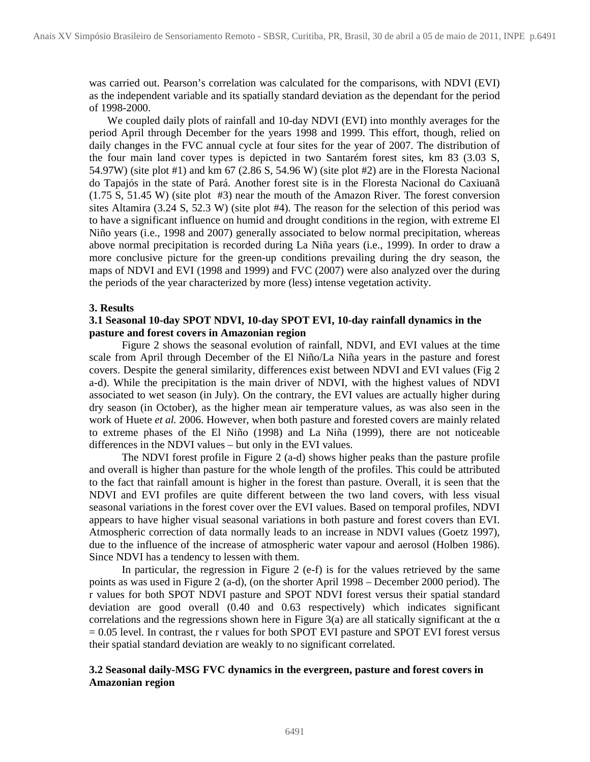was carried out. Pearson's correlation was calculated for the comparisons, with NDVI (EVI) as the independent variable and its spatially standard deviation as the dependant for the period of 1998-2000.

We coupled daily plots of rainfall and 10-day NDVI (EVI) into monthly averages for the period April through December for the years 1998 and 1999. This effort, though, relied on daily changes in the FVC annual cycle at four sites for the year of 2007. The distribution of the four main land cover types is depicted in two Santarém forest sites, km 83 (3.03 S, 54.97W) (site plot #1) and km 67 (2.86 S, 54.96 W) (site plot #2) are in the Floresta Nacional do Tapajós in the state of Pará. Another forest site is in the Floresta Nacional do Caxiuanã (1.75 S, 51.45 W) (site plot #3) near the mouth of the Amazon River. The forest conversion sites Altamira (3.24 S, 52.3 W) (site plot #4). The reason for the selection of this period was to have a significant influence on humid and drought conditions in the region, with extreme El Niño years (i.e., 1998 and 2007) generally associated to below normal precipitation, whereas above normal precipitation is recorded during La Niña years (i.e., 1999). In order to draw a more conclusive picture for the green-up conditions prevailing during the dry season, the maps of NDVI and EVI (1998 and 1999) and FVC (2007) were also analyzed over the during the periods of the year characterized by more (less) intense vegetation activity.

## **3. Results**

## **3.1 Seasonal 10-day SPOT NDVI, 10-day SPOT EVI, 10-day rainfall dynamics in the pasture and forest covers in Amazonian region**

Figure 2 shows the seasonal evolution of rainfall, NDVI, and EVI values at the time scale from April through December of the El Niño/La Niña years in the pasture and forest covers. Despite the general similarity, differences exist between NDVI and EVI values (Fig 2 a-d). While the precipitation is the main driver of NDVI, with the highest values of NDVI associated to wet season (in July). On the contrary, the EVI values are actually higher during dry season (in October), as the higher mean air temperature values, as was also seen in the work of Huete *et al.* 2006. However, when both pasture and forested covers are mainly related to extreme phases of the El Niño (1998) and La Niña (1999), there are not noticeable differences in the NDVI values – but only in the EVI values.

The NDVI forest profile in Figure 2 (a-d) shows higher peaks than the pasture profile and overall is higher than pasture for the whole length of the profiles. This could be attributed to the fact that rainfall amount is higher in the forest than pasture. Overall, it is seen that the NDVI and EVI profiles are quite different between the two land covers, with less visual seasonal variations in the forest cover over the EVI values. Based on temporal profiles, NDVI appears to have higher visual seasonal variations in both pasture and forest covers than EVI. Atmospheric correction of data normally leads to an increase in NDVI values (Goetz 1997), due to the influence of the increase of atmospheric water vapour and aerosol (Holben 1986). Since NDVI has a tendency to lessen with them.

In particular, the regression in Figure 2 (e-f) is for the values retrieved by the same points as was used in Figure 2 (a-d), (on the shorter April 1998 – December 2000 period). The r values for both SPOT NDVI pasture and SPOT NDVI forest versus their spatial standard deviation are good overall (0.40 and 0.63 respectively) which indicates significant correlations and the regressions shown here in Figure 3(a) are all statically significant at the  $\alpha$  $= 0.05$  level. In contrast, the r values for both SPOT EVI pasture and SPOT EVI forest versus their spatial standard deviation are weakly to no significant correlated.

# **3.2 Seasonal daily-MSG FVC dynamics in the evergreen, pasture and forest covers in Amazonian region**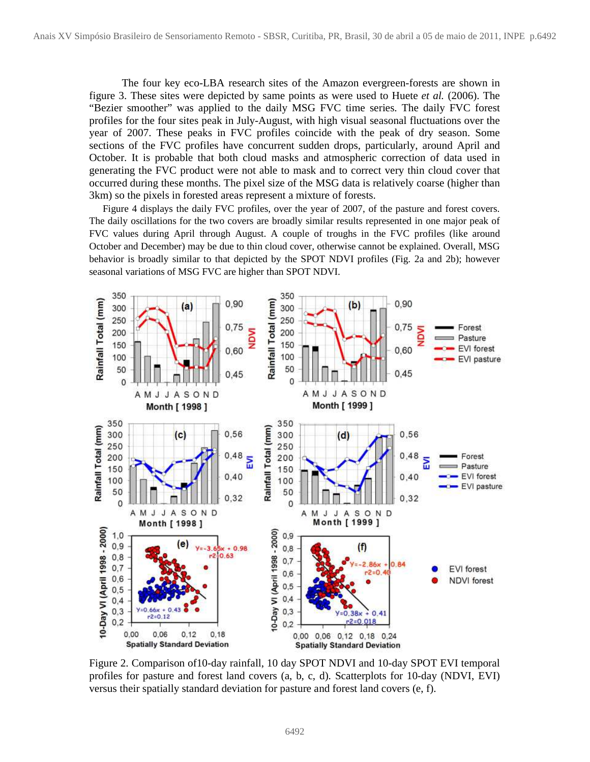The four key eco-LBA research sites of the Amazon evergreen-forests are shown in figure 3. These sites were depicted by same points as were used to Huete *et al.* (2006). The "Bezier smoother" was applied to the daily MSG FVC time series. The daily FVC forest profiles for the four sites peak in July-August, with high visual seasonal fluctuations over the year of 2007. These peaks in FVC profiles coincide with the peak of dry season. Some sections of the FVC profiles have concurrent sudden drops, particularly, around April and October. It is probable that both cloud masks and atmospheric correction of data used in generating the FVC product were not able to mask and to correct very thin cloud cover that occurred during these months. The pixel size of the MSG data is relatively coarse (higher than 3km) so the pixels in forested areas represent a mixture of forests.

Figure 4 displays the daily FVC profiles, over the year of 2007, of the pasture and forest covers. The daily oscillations for the two covers are broadly similar results represented in one major peak of FVC values during April through August. A couple of troughs in the FVC profiles (like around October and December) may be due to thin cloud cover, otherwise cannot be explained. Overall, MSG behavior is broadly similar to that depicted by the SPOT NDVI profiles (Fig. 2a and 2b); however seasonal variations of MSG FVC are higher than SPOT NDVI.



Figure 2. Comparison of10-day rainfall, 10 day SPOT NDVI and 10-day SPOT EVI temporal profiles for pasture and forest land covers (a, b, c, d). Scatterplots for 10-day (NDVI, EVI) versus their spatially standard deviation for pasture and forest land covers (e, f).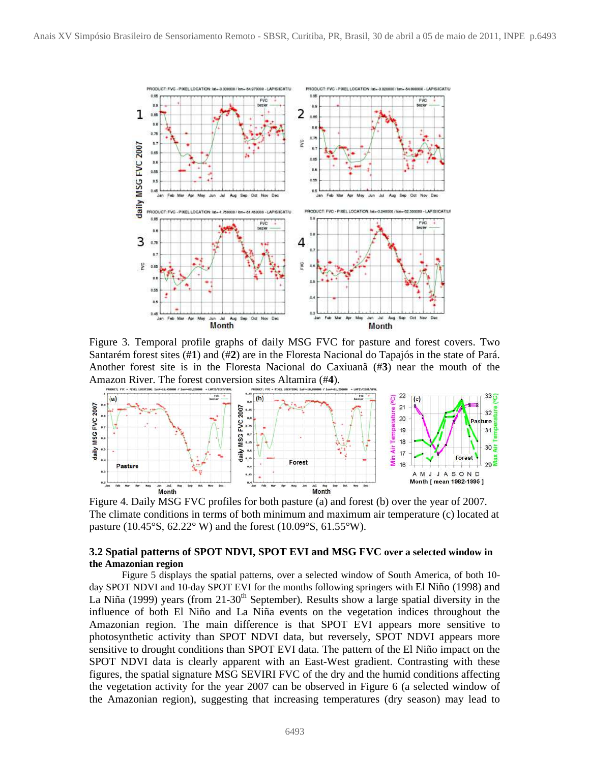

Figure 3. Temporal profile graphs of daily MSG FVC for pasture and forest covers. Two Santarém forest sites (#**1**) and (#**2**) are in the Floresta Nacional do Tapajós in the state of Pará. Another forest site is in the Floresta Nacional do Caxiuanã (#**3**) near the mouth of the Amazon River. The forest conversion sites Altamira (#**4**).



Figure 4. Daily MSG FVC profiles for both pasture (a) and forest (b) over the year of 2007. The climate conditions in terms of both minimum and maximum air temperature (c) located at pasture (10.45°S, 62.22° W) and the forest (10.09°S, 61.55°W).

### **3.2 Spatial patterns of SPOT NDVI, SPOT EVI and MSG FVC over a selected window in the Amazonian region**

Figure 5 displays the spatial patterns, over a selected window of South America, of both 10 day SPOT NDVI and 10-day SPOT EVI for the months following springers with El Niño (1998) and La Niña (1999) years (from 21-30<sup>th</sup> September). Results show a large spatial diversity in the influence of both El Niño and La Niña events on the vegetation indices throughout the Amazonian region. The main difference is that SPOT EVI appears more sensitive to photosynthetic activity than SPOT NDVI data, but reversely, SPOT NDVI appears more sensitive to drought conditions than SPOT EVI data. The pattern of the El Niño impact on the SPOT NDVI data is clearly apparent with an East-West gradient. Contrasting with these figures, the spatial signature MSG SEVIRI FVC of the dry and the humid conditions affecting the vegetation activity for the year 2007 can be observed in Figure 6 (a selected window of the Amazonian region), suggesting that increasing temperatures (dry season) may lead to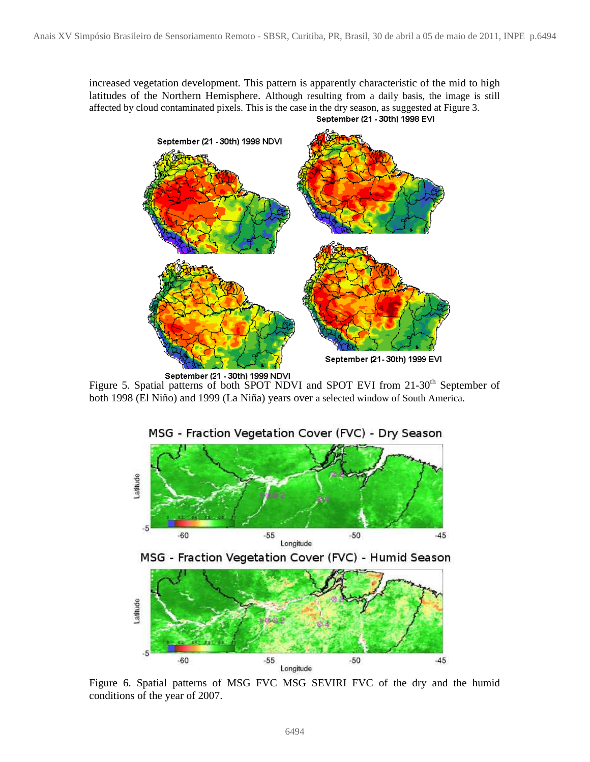increased vegetation development. This pattern is apparently characteristic of the mid to high latitudes of the Northern Hemisphere. Although resulting from a daily basis, the image is still affected by cloud contaminated pixels. This is the case in the dry season, as suggested at Figure 3. September (21 - 30th) 1998 EVI



September (21 - 30th) 1999 NDVI<br>Figure 5. Spatial patterns of both SPOT NDVI and SPOT EVI from 21-30<sup>th</sup> September of both 1998 (El Niño) and 1999 (La Niña) years over a selected window of South America.



Figure 6. Spatial patterns of MSG FVC MSG SEVIRI FVC of the dry and the humid conditions of the year of 2007.